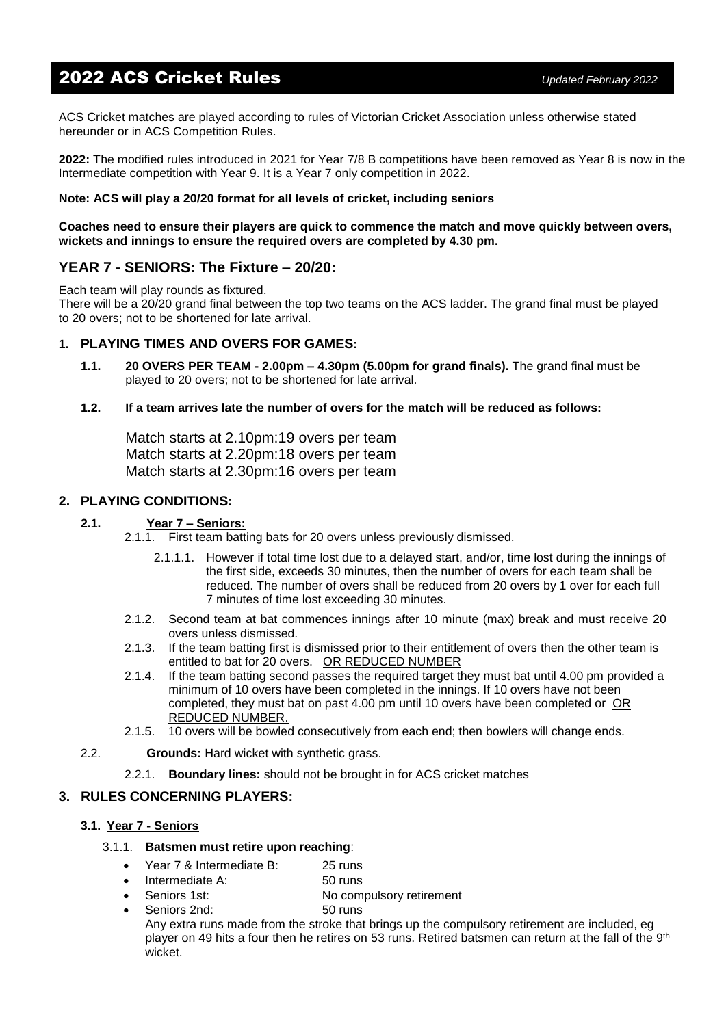# 2022 ACS Cricket Rules *Updated February <sup>2022</sup>*

ACS Cricket matches are played according to rules of Victorian Cricket Association unless otherwise stated hereunder or in ACS Competition Rules.

**2022:** The modified rules introduced in 2021 for Year 7/8 B competitions have been removed as Year 8 is now in the Intermediate competition with Year 9. It is a Year 7 only competition in 2022.

#### **Note: ACS will play a 20/20 format for all levels of cricket, including seniors**

**Coaches need to ensure their players are quick to commence the match and move quickly between overs, wickets and innings to ensure the required overs are completed by 4.30 pm.**

# **YEAR 7 - SENIORS: The Fixture – 20/20:**

Each team will play rounds as fixtured.

There will be a 20/20 grand final between the top two teams on the ACS ladder. The grand final must be played to 20 overs; not to be shortened for late arrival.

## **1. PLAYING TIMES AND OVERS FOR GAMES:**

- **1.1. 20 OVERS PER TEAM - 2.00pm – 4.30pm (5.00pm for grand finals).** The grand final must be played to 20 overs; not to be shortened for late arrival.
- **1.2. If a team arrives late the number of overs for the match will be reduced as follows:**

Match starts at 2.10pm:19 overs per team Match starts at 2.20pm:18 overs per team Match starts at 2.30pm:16 overs per team

## **2. PLAYING CONDITIONS:**

#### **2.1. Year 7 – Seniors:**

- 2.1.1. First team batting bats for 20 overs unless previously dismissed.
	- 2.1.1.1. However if total time lost due to a delayed start, and/or, time lost during the innings of the first side, exceeds 30 minutes, then the number of overs for each team shall be reduced. The number of overs shall be reduced from 20 overs by 1 over for each full 7 minutes of time lost exceeding 30 minutes.
- 2.1.2. Second team at bat commences innings after 10 minute (max) break and must receive 20 overs unless dismissed.
- 2.1.3. If the team batting first is dismissed prior to their entitlement of overs then the other team is entitled to bat for 20 overs. OR REDUCED NUMBER
- 2.1.4. If the team batting second passes the required target they must bat until 4.00 pm provided a minimum of 10 overs have been completed in the innings. If 10 overs have not been completed, they must bat on past 4.00 pm until 10 overs have been completed orOR REDUCED NUMBER.
- 2.1.5. 10 overs will be bowled consecutively from each end; then bowlers will change ends.
- 2.2. **Grounds:** Hard wicket with synthetic grass.
	- 2.2.1. **Boundary lines:** should not be brought in for ACS cricket matches

#### **3. RULES CONCERNING PLAYERS:**

#### **3.1. Year 7 - Seniors**

#### 3.1.1. **Batsmen must retire upon reaching**:

- Year 7 & Intermediate B: 25 runs
- Intermediate A: 50 runs
- Seniors 1st: No compulsory retirement
	- Seniors 2nd: 50 runs

Any extra runs made from the stroke that brings up the compulsory retirement are included, eg player on 49 hits a four then he retires on 53 runs. Retired batsmen can return at the fall of the 9<sup>th</sup> wicket.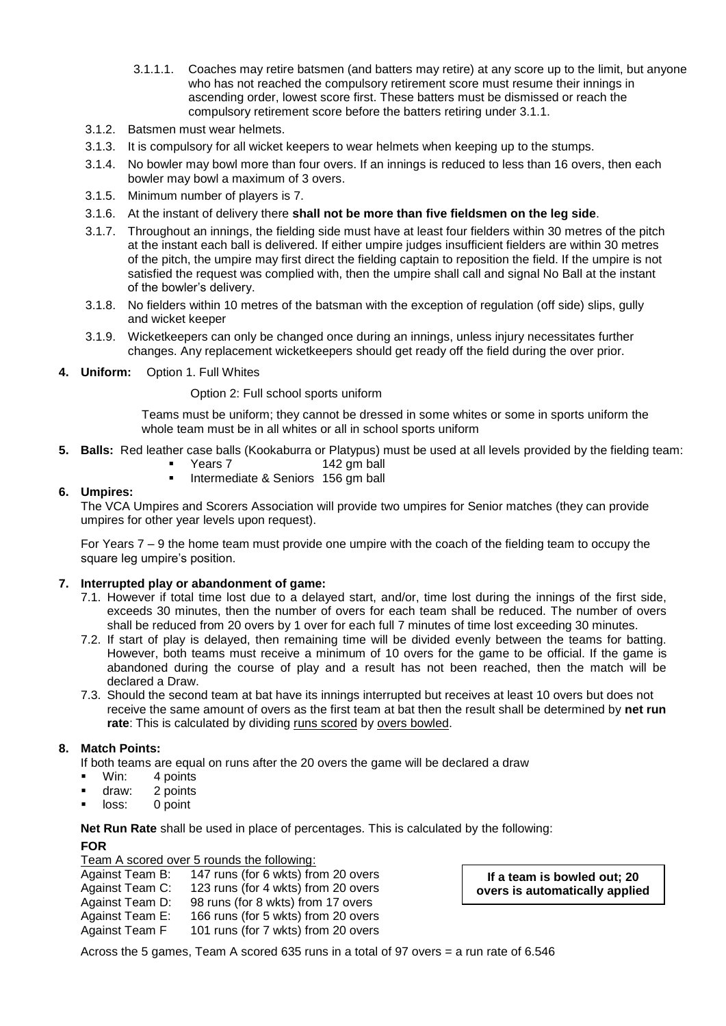- 3.1.1.1. Coaches may retire batsmen (and batters may retire) at any score up to the limit, but anyone who has not reached the compulsory retirement score must resume their innings in ascending order, lowest score first. These batters must be dismissed or reach the compulsory retirement score before the batters retiring under 3.1.1.
- 3.1.2. Batsmen must wear helmets.
- 3.1.3. It is compulsory for all wicket keepers to wear helmets when keeping up to the stumps.
- 3.1.4. No bowler may bowl more than four overs. If an innings is reduced to less than 16 overs, then each bowler may bowl a maximum of 3 overs.
- 3.1.5. Minimum number of players is 7.
- 3.1.6. At the instant of delivery there **shall not be more than five fieldsmen on the leg side**.
- 3.1.7. Throughout an innings, the fielding side must have at least four fielders within 30 metres of the pitch at the instant each ball is delivered. If either umpire judges insufficient fielders are within 30 metres of the pitch, the umpire may first direct the fielding captain to reposition the field. If the umpire is not satisfied the request was complied with, then the umpire shall call and signal No Ball at the instant of the bowler's delivery.
- 3.1.8. No fielders within 10 metres of the batsman with the exception of regulation (off side) slips, gully and wicket keeper
- 3.1.9. Wicketkeepers can only be changed once during an innings, unless injury necessitates further changes. Any replacement wicketkeepers should get ready off the field during the over prior.
- **4. Uniform:** Option 1. Full Whites

Option 2: Full school sports uniform

Teams must be uniform; they cannot be dressed in some whites or some in sports uniform the whole team must be in all whites or all in school sports uniform

- **5. Balls:** Red leather case balls (Kookaburra or Platypus) must be used at all levels provided by the fielding team:
	- Years 7 142 gm ball
		- Intermediate & Seniors 156 gm ball

## **6. Umpires:**

The VCA Umpires and Scorers Association will provide two umpires for Senior matches (they can provide umpires for other year levels upon request).

For Years 7 – 9 the home team must provide one umpire with the coach of the fielding team to occupy the square leg umpire's position.

## **7. Interrupted play or abandonment of game:**

- 7.1. However if total time lost due to a delayed start, and/or, time lost during the innings of the first side, exceeds 30 minutes, then the number of overs for each team shall be reduced. The number of overs shall be reduced from 20 overs by 1 over for each full 7 minutes of time lost exceeding 30 minutes.
- 7.2. If start of play is delayed, then remaining time will be divided evenly between the teams for batting. However, both teams must receive a minimum of 10 overs for the game to be official. If the game is abandoned during the course of play and a result has not been reached, then the match will be declared a Draw.
- 7.3. Should the second team at bat have its innings interrupted but receives at least 10 overs but does not receive the same amount of overs as the first team at bat then the result shall be determined by **net run rate**: This is calculated by dividing runs scored by overs bowled.

# **8. Match Points:**

If both teams are equal on runs after the 20 overs the game will be declared a draw

- Win: 4 points
- draw: 2 points
- loss: 0 point

**Net Run Rate** shall be used in place of percentages. This is calculated by the following: **FOR**

Team A scored over 5 rounds the following:

| Against Team B: | 147 runs (for 6 wkts) from 20 overs |
|-----------------|-------------------------------------|
| Against Team C: | 123 runs (for 4 wkts) from 20 overs |
| Against Team D: | 98 runs (for 8 wkts) from 17 overs  |
| Against Team E: | 166 runs (for 5 wkts) from 20 overs |
| Against Team F  | 101 runs (for 7 wkts) from 20 overs |

**If a team is bowled out; 20 overs is automatically applied**

Across the 5 games, Team A scored 635 runs in a total of 97 overs = a run rate of 6.546